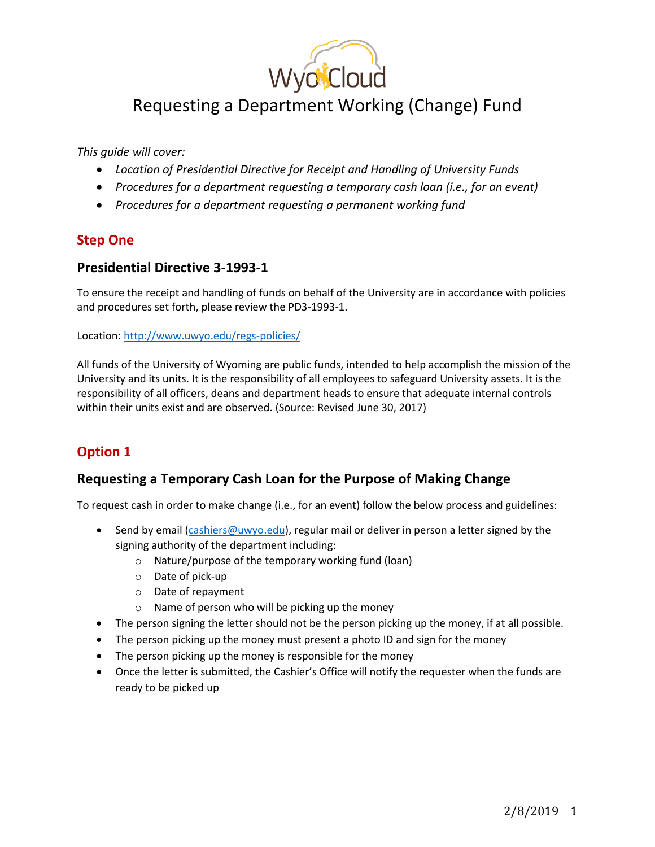

# Requesting a Department Working (Change) Fund

*This guide will cover:*

- *Location of Presidential Directive for Receipt and Handling of University Funds*
- *Procedures for a department requesting a temporary cash loan (i.e., for an event)*
- *Procedures for a department requesting a permanent working fund*

### **Step One**

#### **Presidential Directive 3-1993-1**

To ensure the receipt and handling of funds on behalf of the University are in accordance with policies and procedures set forth, please review the PD3-1993-1.

Location[: http://www.uwyo.edu/regs-policies/](http://www.uwyo.edu/regs-policies/)

All funds of the University of Wyoming are public funds, intended to help accomplish the mission of the University and its units. It is the responsibility of all employees to safeguard University assets. It is the responsibility of all officers, deans and department heads to ensure that adequate internal controls within their units exist and are observed. (Source: Revised June 30, 2017)

## **Option 1**

### **Requesting a Temporary Cash Loan for the Purpose of Making Change**

To request cash in order to make change (i.e., for an event) follow the below process and guidelines:

- Send by email [\(cashiers@uwyo.edu\)](mailto:cashiers@uwyo.edu), regular mail or deliver in person a letter signed by the signing authority of the department including:
	- o Nature/purpose of the temporary working fund (loan)
	- o Date of pick-up
	- o Date of repayment
	- o Name of person who will be picking up the money
- The person signing the letter should not be the person picking up the money, if at all possible.
- The person picking up the money must present a photo ID and sign for the money
- The person picking up the money is responsible for the money
- Once the letter is submitted, the Cashier's Office will notify the requester when the funds are ready to be picked up